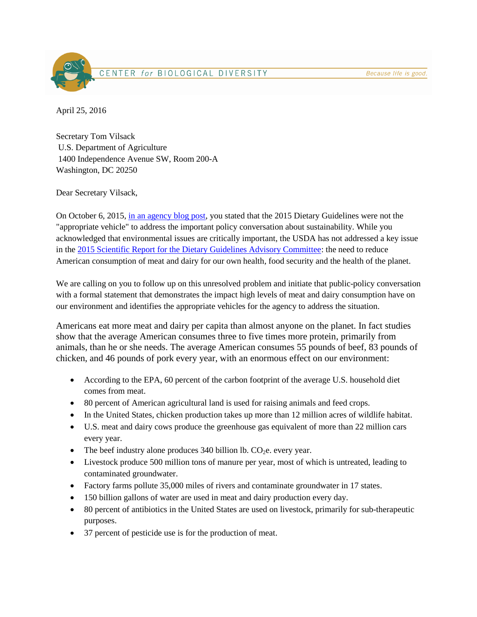

April 25, 2016

Secretary Tom Vilsack U.S. Department of Agriculture 1400 Independence Avenue SW, Room 200-A Washington, DC 20250

Dear Secretary Vilsack,

On October 6, 2015, [in an agency blog post,](http://blogs.usda.gov/2015/10/06/2015-dietary-guidelines-giving-you-the-tools-you-need-to-make-healthy-choices/) you stated that the 2015 Dietary Guidelines were not the "appropriate vehicle" to address the important policy conversation about sustainability. While you acknowledged that environmental issues are critically important, the USDA has not addressed a key issue in the [2015 Scientific Report for the Dietary Guidelines Advisory Committee:](http://health.gov/dietaryguidelines/2015-scientific-report/10-chapter-5/default.asp) the need to reduce American consumption of meat and dairy for our own health, food security and the health of the planet.

We are calling on you to follow up on this unresolved problem and initiate that public-policy conversation with a formal statement that demonstrates the impact high levels of meat and dairy consumption have on our environment and identifies the appropriate vehicles for the agency to address the situation.

Americans eat more meat and dairy per capita than almost anyone on the planet. In fact studies show that the average American consumes three to five times more protein, primarily from animals, than he or she needs. The average American consumes 55 pounds of beef, 83 pounds of chicken, and 46 pounds of pork every year, with an enormous effect on our environment:

- According to the EPA, 60 percent of the carbon footprint of the average U.S. household diet comes from meat.
- 80 percent of American agricultural land is used for raising animals and feed crops.
- In the United States, chicken production takes up more than 12 million acres of wildlife habitat.
- U.S. meat and dairy cows produce the greenhouse gas equivalent of more than 22 million cars every year.
- The beef industry alone produces 340 billion lb.  $CO<sub>2</sub>e$ , every year.
- Livestock produce 500 million tons of manure per year, most of which is untreated, leading to contaminated groundwater.
- Factory farms pollute 35,000 miles of rivers and contaminate groundwater in 17 states.
- 150 billion gallons of water are used in meat and dairy production every day.
- 80 percent of antibiotics in the United States are used on livestock, primarily for sub-therapeutic purposes.
- 37 percent of pesticide use is for the production of meat.